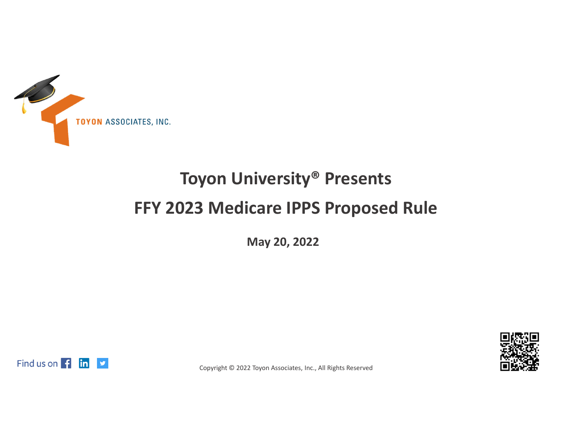

## **Toyon University® Presents FFY 2023 Medicare IPPS Proposed Rule**

**May 20, 2022**



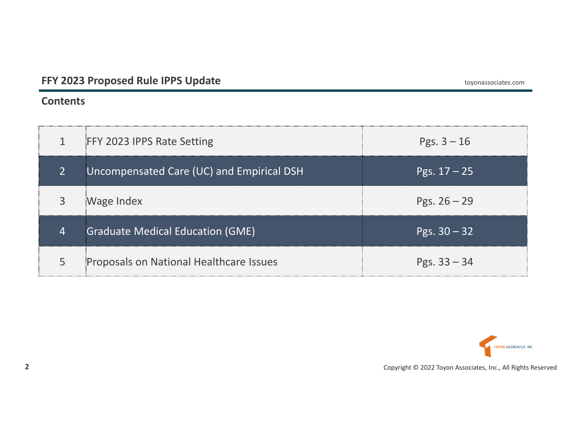#### **Contents**

| $\mathbf{1}$   | <b>FFY 2023 IPPS Rate Setting</b>         | Pgs. $3 - 16$  |
|----------------|-------------------------------------------|----------------|
| $\overline{2}$ | Uncompensated Care (UC) and Empirical DSH | Pgs. 17 – 25'  |
| 3              | Wage Index                                | Pgs. $26 - 29$ |
| 4              | <b>Graduate Medical Education (GME)</b>   | Pgs. $30 - 32$ |
| 5              | Proposals on National Healthcare Issues   | Pgs. $33 - 34$ |

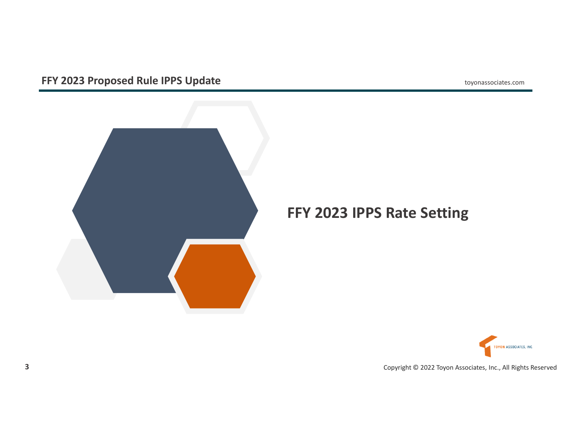

## **FFY 2023 IPPS Rate Setting**

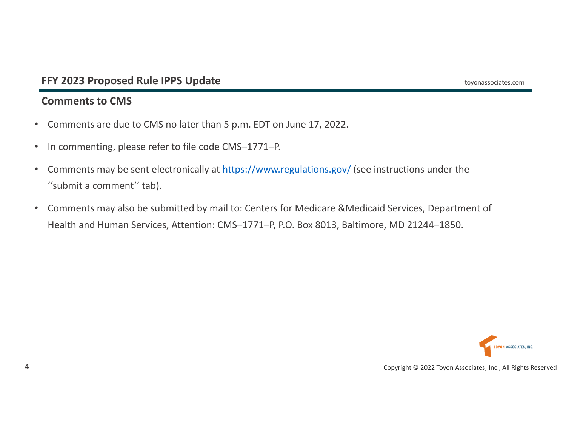## **Comments to CMS**

- $\bullet$ Comments are due to CMS no later than 5 p.m. EDT on June 17, 2022.
- $\bullet$ • In commenting, please refer to file code CMS–1771–P.
- •• Comments may be sent electronically at https://www.regulations.gov/ (see instructions under the ''submit a comment'' tab).
- • Comments may also be submitted by mail to: Centers for Medicare &Medicaid Services, Department of Health and Human Services, Attention: CMS–1771–P, P.O. Box 8013, Baltimore, MD 21244–1850.

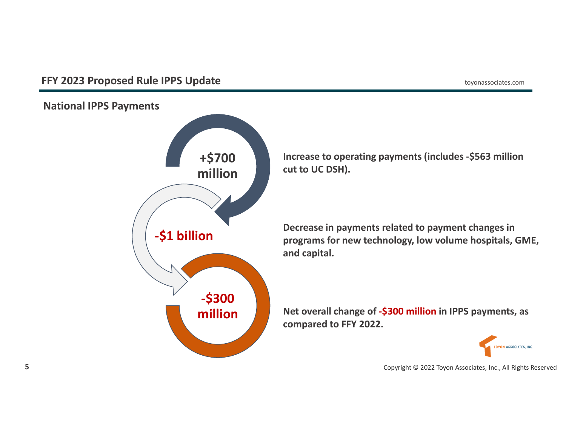**National IPPS Payments**



**Increase to operating payments (includes ‐\$563 million cut to UC DSH).**

**Decrease in payments related to payment changes in programs for new technology, low volume hospitals, GME, and capital.**

**Net overall change of ‐\$300 million in IPPS payments, as compared to FFY 2022.**

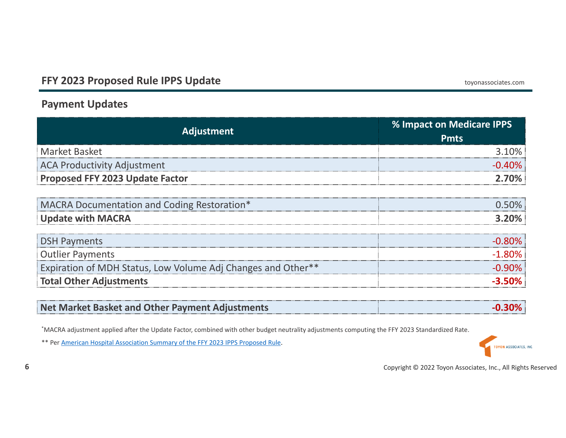## **Payment Updates**

| <b>Adjustment</b>                                            | % Impact on Medicare IPPS<br><b>Pmts</b> |
|--------------------------------------------------------------|------------------------------------------|
| <b>Market Basket</b>                                         | 3 1በ%                                    |
| ACA Productivity Adjustment                                  | -በ 40%                                   |
| Proposed FFY 2023 Update Factor                              |                                          |
| MACRA Documentation and Coding Restoration*                  |                                          |
| <b>Update with MACRA</b>                                     | 3.20%                                    |
| <b>DSH Payments</b>                                          |                                          |
| <b>Outlier Payments</b>                                      | $-1.80\%$                                |
| Expiration of MDH Status, Low Volume Adj Changes and Other** |                                          |
| <b>Total Other Adjustments</b>                               |                                          |

| Net Market Basket and Other Payment Adjustments |  |
|-------------------------------------------------|--|
|                                                 |  |

\*MACRA adjustment applied after the Update Factor, combined with other budget neutrality adjustments computing the FFY 2023 Standardized Rate.

\*\* Per American Hospital Association Summary of the FFY 2023 IPPS Proposed Rule.

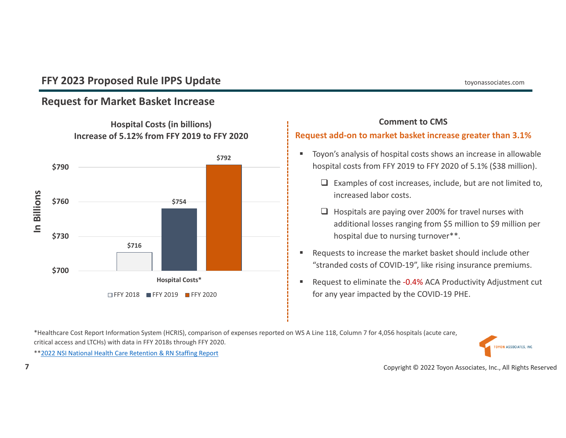## **Request for Market Basket Increase**



## **Hospital Costs (in billions) Increase of 5.12% from FFY 2019 to FFY 2020**

#### **Comment to CMS**

#### **Request add‐on to market basket increase greater than 3.1%**

- Toyon's analysis of hospital costs shows an increase in allowable hospital costs from FFY 2019 to FFY 2020 of 5.1% (\$38 million).
	- $\Box$  Examples of cost increases, include, but are not limited to, increased labor costs.
	- $\Box$  Hospitals are paying over 200% for travel nurses with additional losses ranging from \$5 million to \$9 million per hospital due to nursing turnover\*\*.
- Requests to increase the market basket should include other "stranded costs of COVID‐19", like rising insurance premiums.
- Request to eliminate the ‐0.4% ACA Productivity Adjustment cut for any year impacted by the COVID‐19 PHE.

\*Healthcare Cost Report Information System (HCRIS), comparison of expenses reported on WS A Line 118, Column 7 for 4,056 hospitals (acute care, critical access and LTCHs) with data in FFY 2018s through FFY 2020.



\*\*2022 NSI National Health Care Retention & RN Staffing Report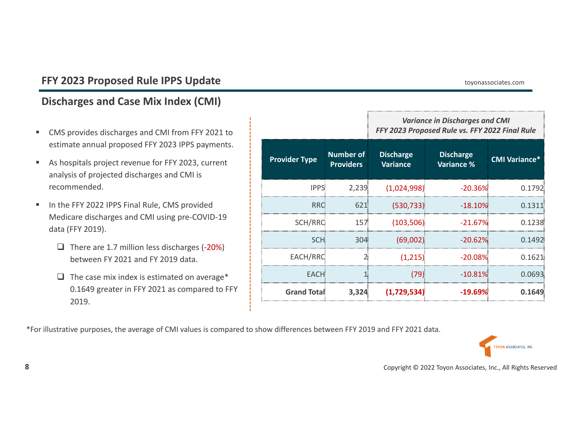## **Discharges and Case Mix Index (CMI)**

- O, CMS provides discharges and CMI from FFY 2021 to estimate annual proposed FFY 2023 IPPS payments.
- ٠ As hospitals project revenue for FFY 2023, current analysis of projected discharges and CMI is recommended.
- $\blacksquare$ ■ In the FFY 2022 IPPS Final Rule, CMS provided Medicare discharges and CMI using pre‐COVID‐19 data (FFY 2019).
	- $\Box$  There are 1.7 million less discharges (-20%) between FY 2021 and FY 2019 data.
	- $\Box$  The case mix index is estimated on average\* 0.1649 greater in FFY 2021 as compared to FFY 2019.

|                      |                                      | <b>Variance in Discharges and CMI</b><br>FFY 2023 Proposed Rule vs. FFY 2022 Final Rule |                                       |                      |  |  |
|----------------------|--------------------------------------|-----------------------------------------------------------------------------------------|---------------------------------------|----------------------|--|--|
| <b>Provider Type</b> | <b>Number of</b><br><b>Providers</b> | <b>Discharge</b><br><b>Variance</b>                                                     | <b>Discharge</b><br><b>Variance %</b> | <b>CMI Variance*</b> |  |  |
| <b>IPPS</b>          | 2,239                                | (1,024,998)                                                                             | $-20.36%$                             | 0.1792               |  |  |
| <b>RRC</b>           | 621                                  | (530, 733)                                                                              | $-18.10%$                             | 0.1311               |  |  |
| SCH/RRC              | 157                                  | (103, 506)                                                                              | $-21.67%$                             | 0.1238               |  |  |
| SCH:                 | 304                                  | (69,002)                                                                                | $-20.62%$                             | 0.1492               |  |  |
| EACH/RRC             |                                      | (1,215)                                                                                 | $-20.08\%$                            | 0.1621               |  |  |
| <b>EACH</b>          |                                      | (79)                                                                                    | $-10.81%$                             | 0.0693               |  |  |
| <b>Grand Total</b>   | 3,324                                | (1,729,534)                                                                             | $-19.69\%$                            | 0.1649               |  |  |

\*For illustrative purposes, the average of CMI values is compared to show differences between FFY 2019 and FFY 2021 data.

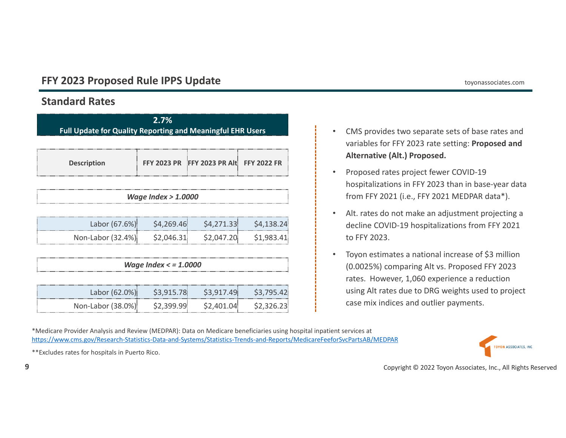## **Standard Rates**

| 2.7%<br><b>Full Update for Quality Reporting and Meaningful EHR Users</b> |            |                                                              |                          |  |  |  |
|---------------------------------------------------------------------------|------------|--------------------------------------------------------------|--------------------------|--|--|--|
| FFY 2023 PR FFY 2023 PR Alt FFY 2022 FR<br><b>Description</b>             |            |                                                              |                          |  |  |  |
| Wage Index $> 1.0000$                                                     |            |                                                              |                          |  |  |  |
| Labor (67.6%)<br>Non-Labor (32.4%) \$2,046.31 \$2,047.20                  | \$4,269.46 | \$4,271.33                                                   | \$4,138.24<br>\$1,983.41 |  |  |  |
| Wage Index $\lt$ = 1.0000                                                 |            |                                                              |                          |  |  |  |
| Non-Labor (38.0%)                                                         | \$2,399.99 | Labor (62.0%) \$3,915.78 \$3,917.49 \$3,795.42<br>\$2,401.04 | \$2,326.23               |  |  |  |

- • CMS provides two separate sets of base rates and variables for FFY 2023 rate setting: **Proposed and Alternative (Alt.) Proposed.**
- • Proposed rates project fewer COVID‐19 hospitalizations in FFY 2023 than in base‐year data from FFY 2021 (i.e., FFY 2021 MEDPAR data\*).
- $\bullet$  Alt. rates do not make an adjustment projecting <sup>a</sup> decline COVID‐19 hospitalizations from FFY 2021 to FFY 2023.
- $\bullet$  Toyon estimates <sup>a</sup> national increase of \$3 million (0.0025%) comparing Alt vs. Proposed FFY 2023 rates. However, 1,060 experience <sup>a</sup> reduction using Alt rates due to DRG weights used to project case mix indices and outlier payments.

\*Medicare Provider Analysis and Review (MEDPAR): Data on Medicare beneficiaries using hospital inpatient services at https://www.cms.gov/Research‐Statistics‐Data‐and‐Systems/Statistics‐Trends‐and‐Reports/MedicareFeeforSvcPartsAB/MEDPAR



\*\*Excludes rates for hospitals in Puerto Rico.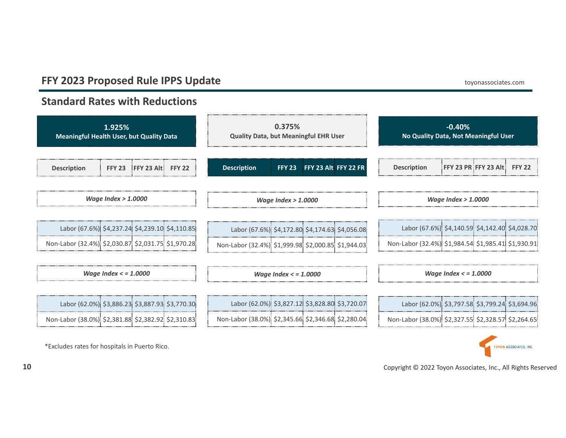**Standard Rates with Reductions**

\*Excludes rates for hospitals in Puerto Rico.





Copyright © 2022 Toyon Associates, Inc., All Rights Reserved

**10**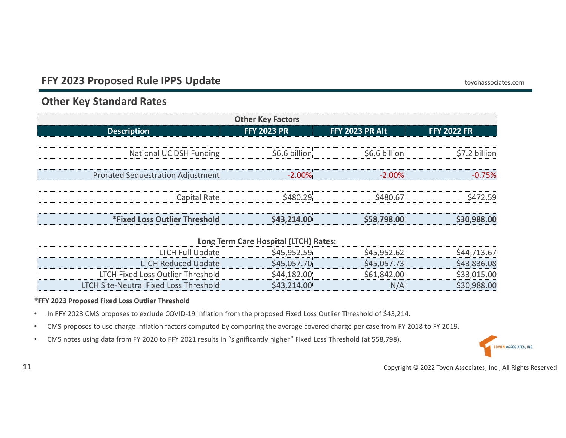## **Other Key Standard Rates**

| <b>Other Key Factors</b>          |              |                    |                 |                    |  |  |  |
|-----------------------------------|--------------|--------------------|-----------------|--------------------|--|--|--|
| <b>Description</b>                |              | <b>FFY 2023 PR</b> | FFY 2023 PR Alt | <b>FFY 2022 FR</b> |  |  |  |
| National UC DSH Funding           |              | \$6.6 billion      | \$6.6 billion   |                    |  |  |  |
| Prorated Sequestration Adjustment |              | $-2.00\%$          | $-2.00\%$       |                    |  |  |  |
|                                   | Capital Rate | <b>S480.29</b>     | S480 67         | 72 59:             |  |  |  |
| *Fixed Loss Outlier Threshold     |              | \$43.214.00        | \$58,798.00     |                    |  |  |  |

#### **Long Term Care Hospital (LTCH) Rates:**

| <b>LTCH Full Update:</b>                |        |  |
|-----------------------------------------|--------|--|
| LTCH Reduced Update:                    |        |  |
| LTCH Fixed Loss Outlier Threshold       | 61 842 |  |
| LTCH Site-Neutral Fixed Loss Threshold: |        |  |

#### **\*FFY 2023 Proposed Fixed Loss Outlier Threshold**

- •In FFY 2023 CMS proposes to exclude COVID-19 inflation from the proposed Fixed Loss Outlier Threshold of \$43,214.
- •CMS proposes to use charge inflation factors computed by comparing the average covered charge per case from FY 2018 to FY 2019.
- •CMS notes using data from FY 2020 to FFY 2021 results in "significantly higher" Fixed Loss Threshold (at \$58,798).

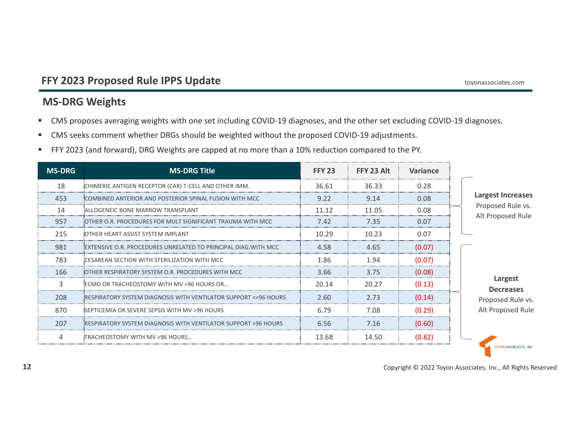## **MS‐DRG Weights**

- $\blacksquare$ ■ CMS proposes averaging weights with one set including COVID-19 diagnoses, and the other set excluding COVID-19 diagnoses.
- $\blacksquare$  . ■ CMS seeks comment whether DRGs should be weighted without the proposed COVID-19 adjustments.
- $\mathbf{m}_{\mathrm{eff}}$ FFY 2023 (and forward), DRG Weights are capped at no more than <sup>a</sup> 10% reduction compared to the PY.

| <b>MS-DRG</b> | <b>MS-DRG Title</b>                                              | <b>FFY 23</b> | FFY 23 Alt | Variance |                                        |
|---------------|------------------------------------------------------------------|---------------|------------|----------|----------------------------------------|
| 18            | CHIMERIC ANTIGEN RECEPTOR (CAR) T-CELL AND OTHER IMM.            | 36.61         | 36.33      | 0.28     |                                        |
| 453           | COMBINED ANTERIOR AND POSTERIOR SPINAL FUSION WITH MCC           | 9.22          | 9.14       | 0.08     | <b>Largest Increases</b>               |
| 14            | ALLOGENEIC BONE MARROW TRANSPLANT                                | 11.12         | 11.05      | 0.08     | Proposed Rule vs.<br>Alt Proposed Rule |
| 957           | OTHER O.R. PROCEDURES FOR MULT SIGNIFICANT TRAUMA WITH MCC       | 7.42          | 7.35       | 0.07     |                                        |
| 215           | OTHER HEART ASSIST SYSTEM IMPLANT                                | 10.29         | 10.23      | 0.07     |                                        |
| 981           | EXTENSIVE O.R. PROCEDURES UNRELATED TO PRINCIPAL DIAG.WITH MCC:  | 4.58          | 4.65       | (0.07)   |                                        |
| 783           | CESAREAN SECTION WITH STERILIZATION WITH MCC                     | 1.86          | 1.94       | (0.07)   |                                        |
| 166           | OTHER RESPIRATORY SYSTEM O.R. PROCEDURES WITH MCC                | 3.66          | 3.75       | (0.08)   |                                        |
|               | ECMO OR TRACHEOSTOMY WITH MV >96 HOURS OR                        | 20.14         | 20.27      | (0.13)   | Largest<br><b>Decreases</b>            |
| 208           | RESPIRATORY SYSTEM DIAGNOSIS WITH VENTILATOR SUPPORT <= 96 HOURS | 2.60          | 2.73       | (0.14)   | Proposed Rule vs.                      |
| 870           | SEPTICEMIA OR SEVERE SEPSIS WITH MV >96 HOURS                    | 6.79          | 7.08       | (0.29)   | Alt Proposed Rule                      |
| 207           | RESPIRATORY SYSTEM DIAGNOSIS WITH VENTILATOR SUPPORT >96 HOURS   | 6.56          | 7.16       | (0.60)   |                                        |
| $\Delta$      | TRACHEOSTOMY WITH MV >96 HOURS                                   | 13.68         | 14.50      | (0.82)   | <b>TOYON ASSOCIATES, INC</b>           |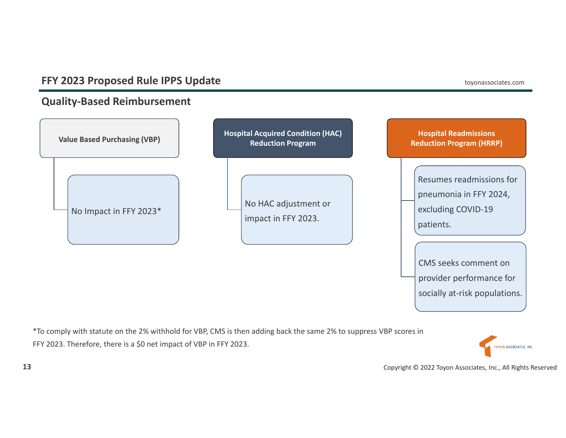## **Quality‐Based Reimbursement**



\*To comply with statute on the 2% withhold for VBP, CMS is then adding back the same 2% to suppress VBP scores in FFY 2023. Therefore, there is <sup>a</sup> \$0 net impact of VBP in FFY 2023.

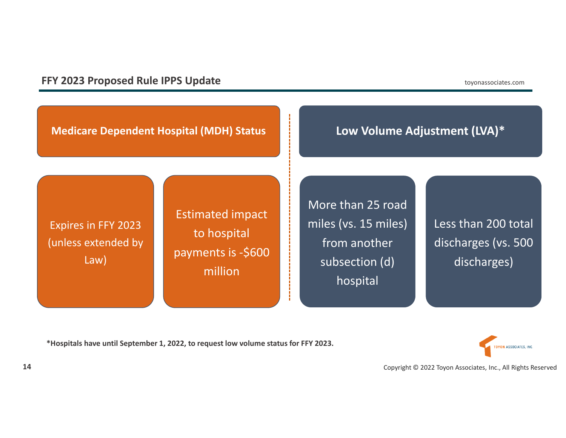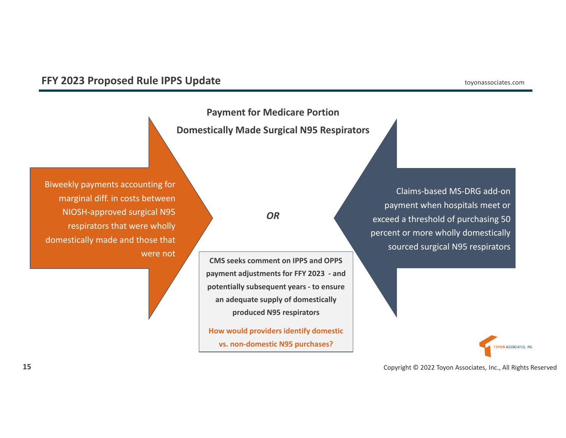**Payment for Medicare Portion Domestically Made Surgical N95 Respirators**

Biweekly payments accounting for marginal diff. in costs between NIOSH‐approved surgical N95 respirators that were wholly domestically made and those that were not

Claims‐based MS‐DRG add‐on payment when hospitals meet or exceed <sup>a</sup> threshold of purchasing 50 percent or more wholly domestically sourced surgical N95 respirators

**TOYON ASSOCIATES, INC.** 

Copyright © 2022 Toyon Associates, Inc., All Rights Reserved

#### *OR*

**CMS seeks comment on IPPS and OPPS payment adjustments for FFY 2023 ‐ and potentially subsequent years ‐ to ensure an adequate supply of domestically produced N95 respirators**

**How would providers identify domestic vs. non‐domestic N95 purchases?**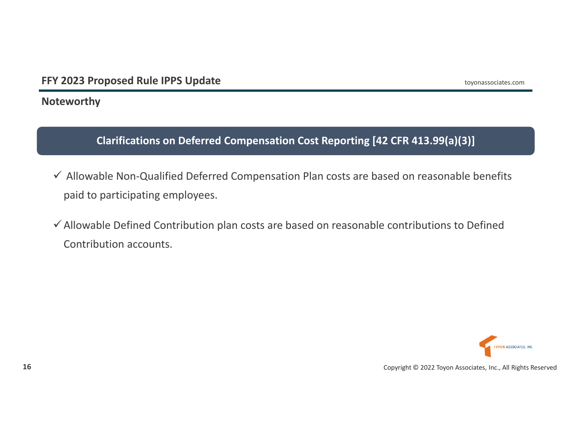**Noteworthy**

**Clarifications on Deferred Compensation Cost Reporting [42 CFR 413.99(a)(3)]**

- Allowable Non‐Qualified Deferred Compensation Plan costs are based on reasonable benefits paid to participating employees.
- $\checkmark$  Allowable Defined Contribution plan costs are based on reasonable contributions to Defined Contribution accounts.

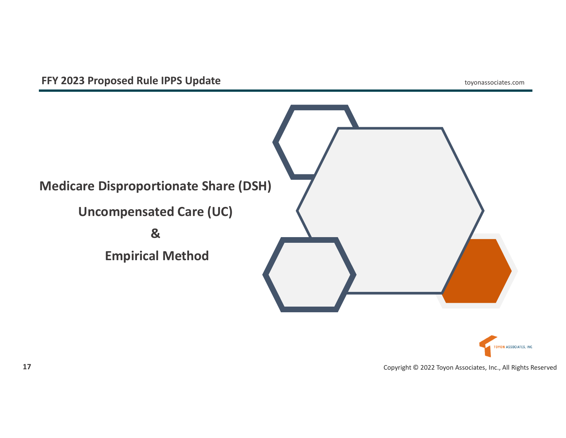

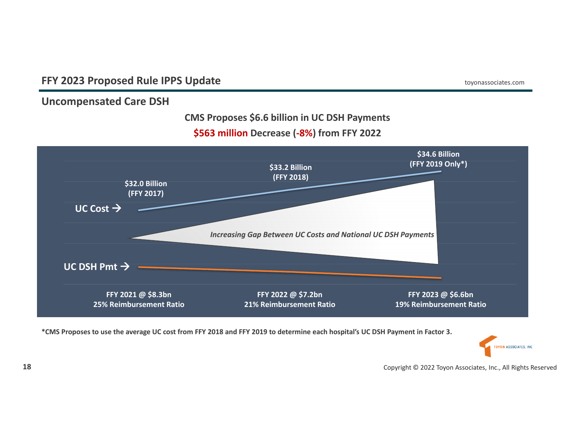**Uncompensated Care DSH**

#### **CMS Proposes \$6.6 billion in UC DSH Payments**

## **\$563 million Decrease (‐8%) from FFY 2022**



\*CMS Proposes to use the average UC cost from FFY 2018 and FFY 2019 to determine each hospital's UC DSH Payment in Factor 3.

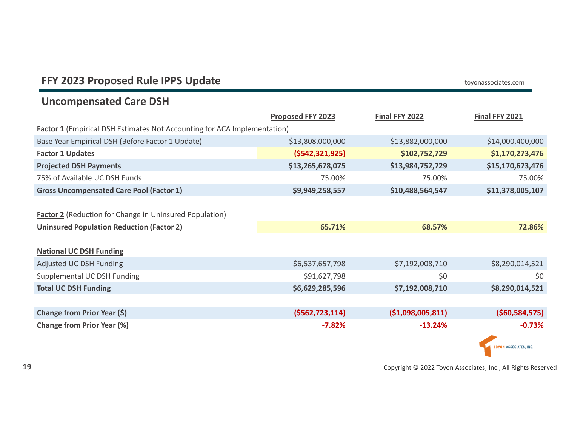## **Uncompensated Care DSH**

|                                                                          | <b>Proposed FFY 2023</b> | Final FFY 2022   | <b>Final FFY 2021</b>       |  |  |  |
|--------------------------------------------------------------------------|--------------------------|------------------|-----------------------------|--|--|--|
| Factor 1 (Empirical DSH Estimates Not Accounting for ACA Implementation) |                          |                  |                             |  |  |  |
| Base Year Empirical DSH (Before Factor 1 Update)                         | \$13,808,000,000         | \$13,882,000,000 | \$14,000,400,000            |  |  |  |
| <b>Factor 1 Updates</b>                                                  | (5542, 321, 925)         | \$102,752,729    | \$1,170,273,476             |  |  |  |
| <b>Projected DSH Payments</b>                                            | \$13,265,678,075         | \$13,984,752,729 | \$15,170,673,476            |  |  |  |
| 75% of Available UC DSH Funds                                            | 75.00%                   | 75.00%           | 75.00%                      |  |  |  |
| <b>Gross Uncompensated Care Pool (Factor 1)</b>                          | \$9,949,258,557          | \$10,488,564,547 | \$11,378,005,107            |  |  |  |
|                                                                          |                          |                  |                             |  |  |  |
| <b>Factor 2</b> (Reduction for Change in Uninsured Population)           |                          |                  |                             |  |  |  |
| <b>Uninsured Population Reduction (Factor 2)</b>                         | 65.71%                   | 68.57%           | 72.86%                      |  |  |  |
|                                                                          |                          |                  |                             |  |  |  |
| <b>National UC DSH Funding</b>                                           |                          |                  |                             |  |  |  |
| Adjusted UC DSH Funding                                                  | \$6,537,657,798          | \$7,192,008,710  | \$8,290,014,521             |  |  |  |
| Supplemental UC DSH Funding                                              | \$91,627,798             | \$0              | \$0                         |  |  |  |
| <b>Total UC DSH Funding</b>                                              | \$6,629,285,596          | \$7,192,008,710  | \$8,290,014,521             |  |  |  |
|                                                                          |                          |                  |                             |  |  |  |
| Change from Prior Year (\$)                                              | (5562, 723, 114)         | (51,098,005,811) | ( \$60,584,575)             |  |  |  |
| <b>Change from Prior Year (%)</b>                                        | $-7.82%$                 | $-13.24%$        | $-0.73%$                    |  |  |  |
|                                                                          |                          |                  |                             |  |  |  |
|                                                                          |                          |                  | <b>OYON ASSOCIATES, INC</b> |  |  |  |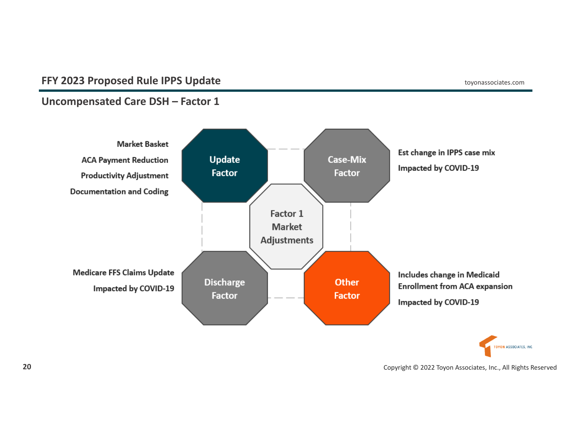## **Uncompensated Care DSH – Factor 1**

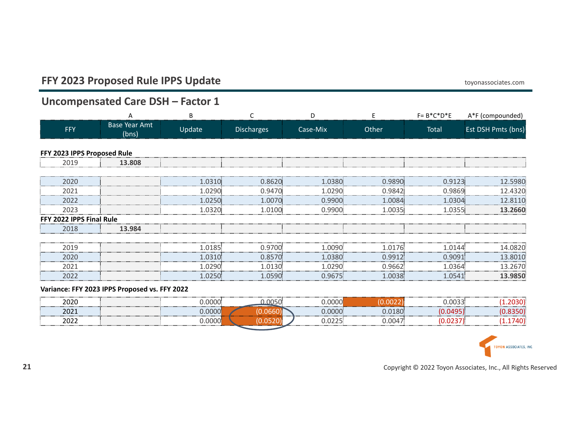## **Uncompensated Care DSH – Factor 1**

|                             | А                             | В       |            | D        |        | $F = B^*C^*D^*E$ | A*F (compounded)   |
|-----------------------------|-------------------------------|---------|------------|----------|--------|------------------|--------------------|
| FFY                         | <b>Base Year Amt</b><br>(bns) | Update  | Discharges | Case-Mix | Other  | Total            | Est DSH Pmts (bns) |
| FFY 2023 IPPS Proposed Rule |                               |         |            |          |        |                  |                    |
| 2019                        | 13.808                        |         |            |          |        |                  |                    |
|                             |                               |         |            |          |        |                  |                    |
| 2020                        |                               | 1.0310: | 0.8620:    | 1.0380.  | 0.9890 | 0.9123           | 12.5980            |
| 2021                        |                               | 1.0290. | 0.9470     | 1.0290   | 0.9842 | 0.9869.          | 12.4320            |
| 2022                        |                               | 1.0250  | 1.0070     | 0.9900   | 1.0084 | 1.0304           | 11በ                |
| 2023                        |                               | 1.0320  | 1.0100     | 0.9900   | 1.0035 | 1.0355           | 2660               |
| <b>2022 IPPS Final Rule</b> |                               |         |            |          |        |                  |                    |
| 2018                        | 13.984                        |         |            |          |        |                  |                    |
|                             |                               |         |            |          |        |                  |                    |
| 2019                        |                               | 1.0185  | 0.9700     | .009     | 1.0176 | 1 (1144          | 14.0820            |
| 2020                        |                               | 1.0310. | 0.8570     | 1.0380   | 0.9912 | 0.9091           | 13.8010            |
| 2021                        |                               | 1.0290. | 1.0130     | 1.0290   | 0.9662 | 1.0364.          | 13.2670            |
| 2022                        |                               |         | 1 በ59በ፡    | ገ 9675፡  |        | 1 0541:          |                    |

#### **Variance: FFY 2023 IPPS Proposed vs. FFY 2022**

| anac<br>-uzv | _________________________ |  |  |
|--------------|---------------------------|--|--|
| ᅀᅛᇰ          |                           |  |  |
| ---<br>- 92  |                           |  |  |

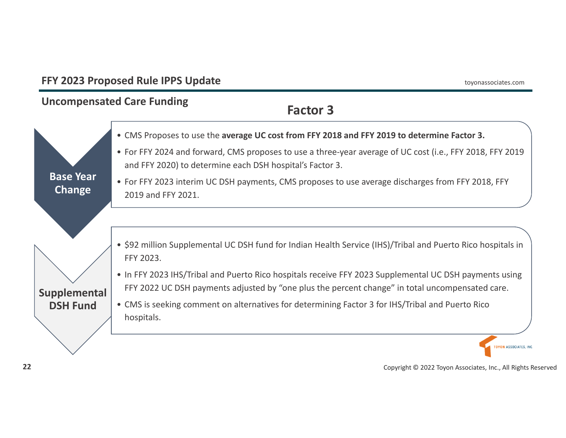## **FFY 2023 Proposed Rule IPPS Update** toyonassociates.com **Uncompensated Care Funding Factor 3**• CMS Proposes to use the **average UC cost from FFY 2018 and FFY 2019 to determine Factor 3.** • For FFY 2024 and forward, CMS proposes to use <sup>a</sup> three‐year average of UC cost (i.e., FFY 2018, FFY 2019 and FFY 2020) to determine each DSH hospital's Factor 3. **Base Year** • For FFY 2023 interim UC DSH payments, CMS proposes to use average discharges from FFY 2018, FFY **Change** 2019 and FFY 2021. • \$92 million Supplemental UC DSH fund for Indian Health Service (IHS)/Tribal and Puerto Rico hospitals in FFY 2023. • In FFY 2023 IHS/Tribal and Puerto Rico hospitals receive FFY 2023 Supplemental UC DSH payments using FFY 2022 UC DSH payments adjusted by "one plus the percent change" in total uncompensated care. **Supplemental** • CMS is seeking comment on alternatives for determining Factor 3 for IHS/Tribal and Puerto Rico **DSH Fund** hospitals. **TOYON ASSOCIATES, INC.**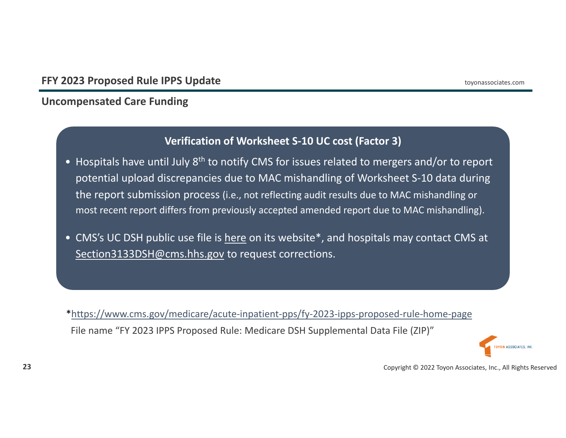## **Uncompensated Care Funding**

## **Verification of Worksheet S‐10 UC cost (Factor 3)**

- Hospitals have until July 8<sup>th</sup> to notify CMS for issues related to mergers and/or to report potential upload discrepancies due to MAC mishandling of Worksheet S‐10 data during the report submission process (i.e., not reflecting audit results due to MAC mishandling or most recent report differs from previously accepted amended report due to MAC mishandling).
- CMS's UC DSH public use file is <u>here</u> on its website\*, and hospitals may contact CMS at Section3133DSH@cms.hhs.gov to request corrections.

\*https://www.cms.gov/medicare/acute‐inpatient‐pps/fy‐2023‐ipps‐proposed‐rule‐home‐page File name "FY 2023 IPPS Proposed Rule: Medicare DSH Supplemental Data File (ZIP)"

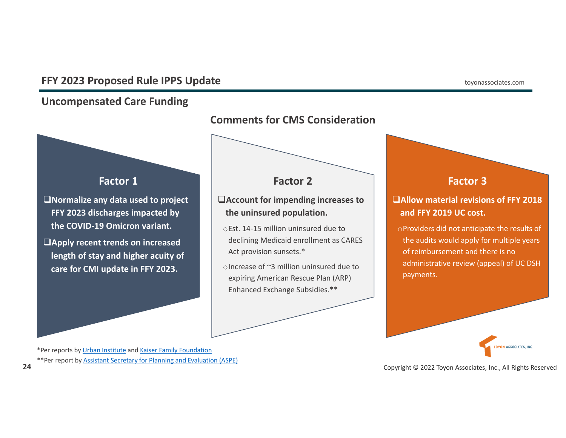## **Uncompensated Care Funding**



\*Per reports by Urban Institute and Kaiser Family Foundation \*\*Per report by Assistant Secretary for Planning and Evaluation (ASPE)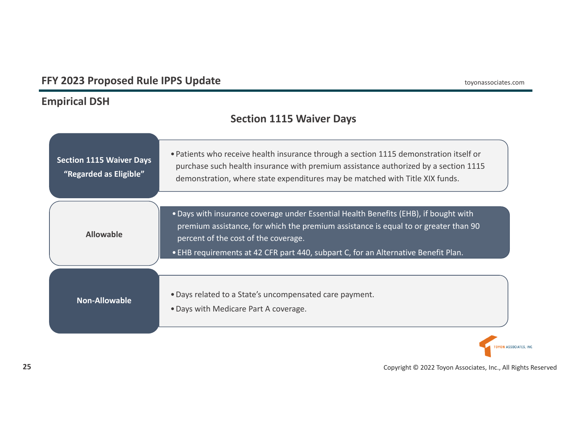## **Empirical DSH**

## **Section 1115 Waiver Days**

| <b>Section 1115 Waiver Days</b><br>"Regarded as Eligible" | • Patients who receive health insurance through a section 1115 demonstration itself or<br>purchase such health insurance with premium assistance authorized by a section 1115<br>demonstration, where state expenditures may be matched with Title XIX funds.                                             |
|-----------------------------------------------------------|-----------------------------------------------------------------------------------------------------------------------------------------------------------------------------------------------------------------------------------------------------------------------------------------------------------|
| <b>Allowable</b>                                          | . Days with insurance coverage under Essential Health Benefits (EHB), if bought with<br>premium assistance, for which the premium assistance is equal to or greater than 90<br>percent of the cost of the coverage.<br>. EHB requirements at 42 CFR part 440, subpart C, for an Alternative Benefit Plan. |
| <b>Non-Allowable</b>                                      | . Days related to a State's uncompensated care payment.<br>• Days with Medicare Part A coverage.                                                                                                                                                                                                          |

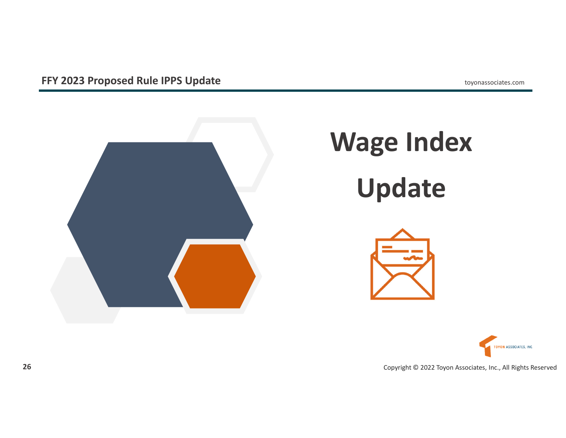

# **Wage Index Update**



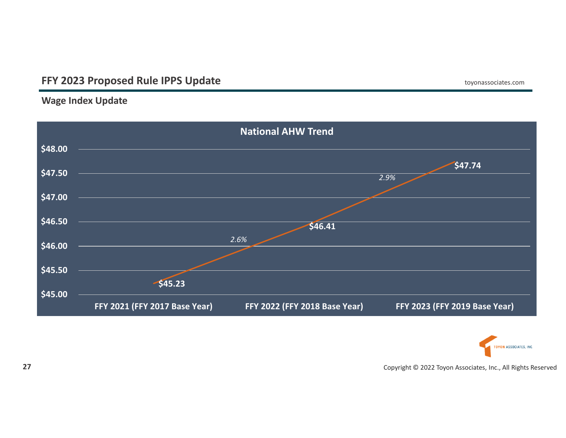## **Wage Index Update**



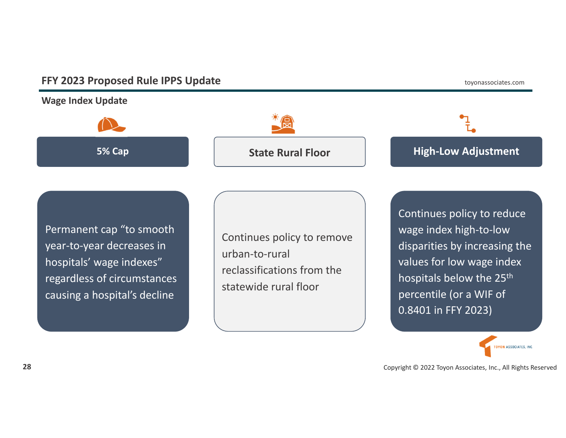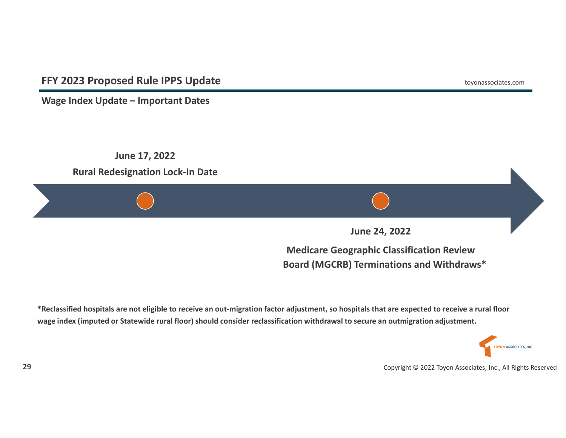**Wage Index Update – Important Dates**



**Medicare Geographic Classification Review Board (MGCRB) Terminations and Withdraws\***

\*Reclassified hospitals are not eligible to receive an out-migration factor adjustment, so hospitals that are expected to receive a rural floor wage index (imputed or Statewide rural floor) should consider reclassification withdrawal to secure an outmigration adjustment.

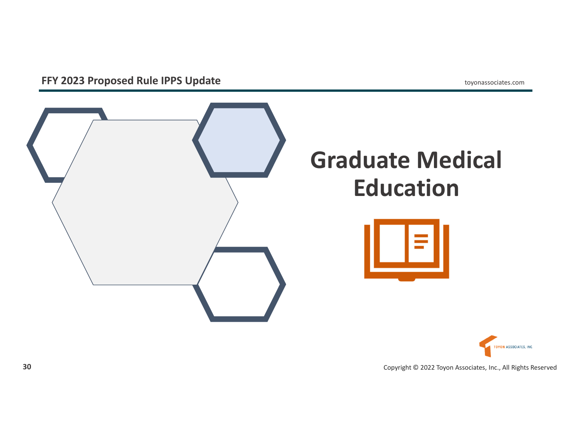

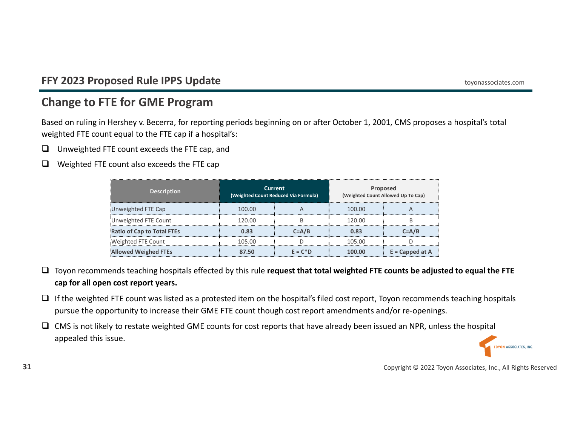## **Change to FTE for GME Program**

Based on ruling in Hershey v. Becerra, for reporting periods beginning on or after October 1, 2001, CMS proposes <sup>a</sup> hospital's total weighted FTE count equal to the FTE cap if <sup>a</sup> hospital's:

- $\Box$ Unweighted FTE count exceeds the FTE cap, and
- $\Box$ Weighted FTE count also exceeds the FTE cap

| <b>Description</b>                | <b>Current</b><br>(Weighted Count Reduced Via Formula) |            | Proposed<br>(Weighted Count Allowed Up To Cap) |                   |
|-----------------------------------|--------------------------------------------------------|------------|------------------------------------------------|-------------------|
| Unweighted FTE Cap                | 100.00                                                 |            | 100.00                                         |                   |
| Unweighted FTE Count              | 120.00                                                 |            | 120.00                                         |                   |
| <b>Ratio of Cap to Total FTEs</b> | 0.83                                                   | $C = A/B$  | 0.83                                           | $C = A/B$         |
| Weighted FTE Count                | 105.00                                                 |            | 105.00                                         |                   |
| <b>Allowed Weighed FTEs</b>       | 87.50                                                  | $F = C^*D$ | 100.00                                         | $E = Capped at A$ |

- Toyon recommends teaching hospitals effected by this rule **request that total weighted FTE counts be adjusted to equal the FTE cap for all open cost report years.**
- $\Box$  If the weighted FTE count was listed as a protested item on the hospital's filed cost report, Toyon recommends teaching hospitals pursue the opportunity to increase their GME FTE count though cost report amendments and/or re‐openings.
- $\Box$  CMS is not likely to restate weighted GME counts for cost reports that have already been issued an NPR, unless the hospital appealed this issue.

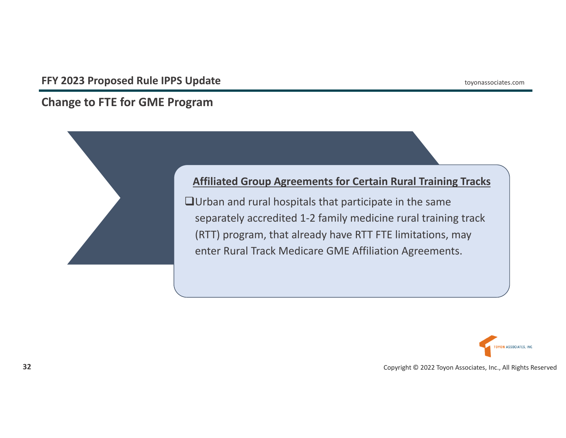## **Change to FTE for GME Program**



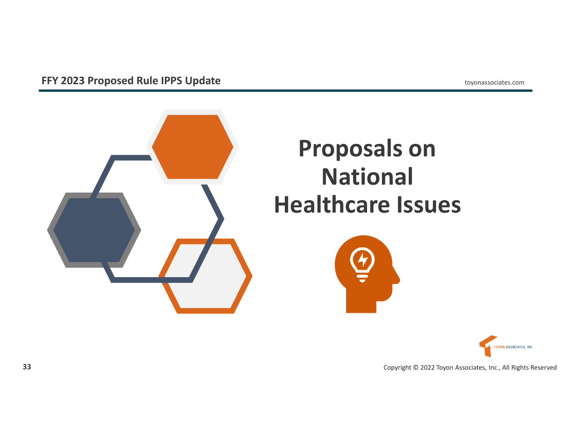

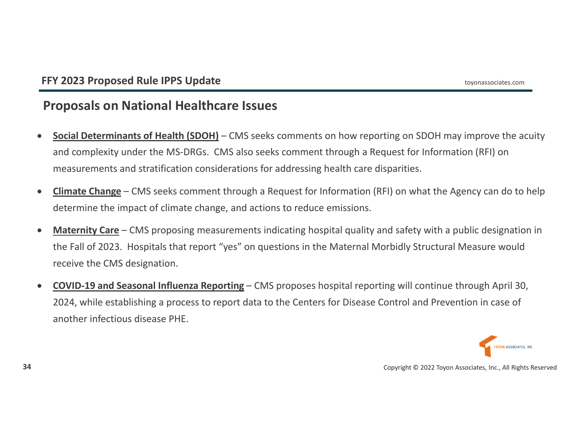## **Proposals on National Healthcare Issues**

- $\bullet$  **Social Determinants of Health (SDOH)** – CMS seeks comments on how reporting on SDOH may improve the acuity and complexity under the MS‐DRGs. CMS also seeks comment through <sup>a</sup> Request for Information (RFI) on measurements and stratification considerations for addressing health care disparities.
- $\bullet$  **Climate Change** – CMS seeks comment through <sup>a</sup> Request for Information (RFI) on what the Agency can do to help determine the impact of climate change, and actions to reduce emissions.
- $\bullet$  **Maternity Care** – CMS proposing measurements indicating hospital quality and safety with <sup>a</sup> public designation in the Fall of 2023. Hospitals that report "yes" on questions in the Maternal Morbidly Structural Measure would receive the CMS designation.
- $\bullet$  **COVID‐19 and Seasonal Influenza Reporting** – CMS proposes hospital reporting will continue through April 30, 2024, while establishing <sup>a</sup> process to report data to the Centers for Disease Control and Prevention in case of another infectious disease PHE.